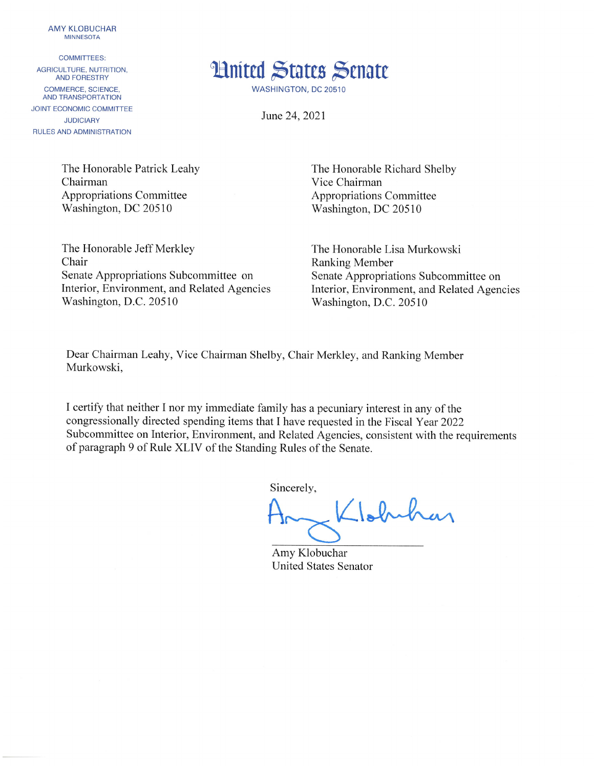**AMY KLOBUCHAR MINNESOTA** 

**COMMITTEES:** AGRICULTURE, NUTRITION, **AND FORESTRY** COMMERCE, SCIENCE, AND TRANSPORTATION **JOINT ECONOMIC COMMITTEE JUDICIARY RULES AND ADMINISTRATION** 



**WASHINGTON, DC 20510** 

June 24, 2021

The Honorable Patrick Leahy Chairman **Appropriations Committee** Washington, DC 20510

The Honorable Richard Shelby Vice Chairman **Appropriations Committee** Washington, DC 20510

The Honorable Jeff Merkley Chair Senate Appropriations Subcommittee on Interior, Environment, and Related Agencies Washington, D.C. 20510

The Honorable Lisa Murkowski **Ranking Member** Senate Appropriations Subcommittee on Interior, Environment, and Related Agencies Washington, D.C. 20510

Dear Chairman Leahy, Vice Chairman Shelby, Chair Merkley, and Ranking Member Murkowski,

I certify that neither I nor my immediate family has a pecuniary interest in any of the congressionally directed spending items that I have requested in the Fiscal Year 2022 Subcommittee on Interior, Environment, and Related Agencies, consistent with the requirements of paragraph 9 of Rule XLIV of the Standing Rules of the Senate.

Sincerely,

Llobuhar

Amy Klobuchar **United States Senator**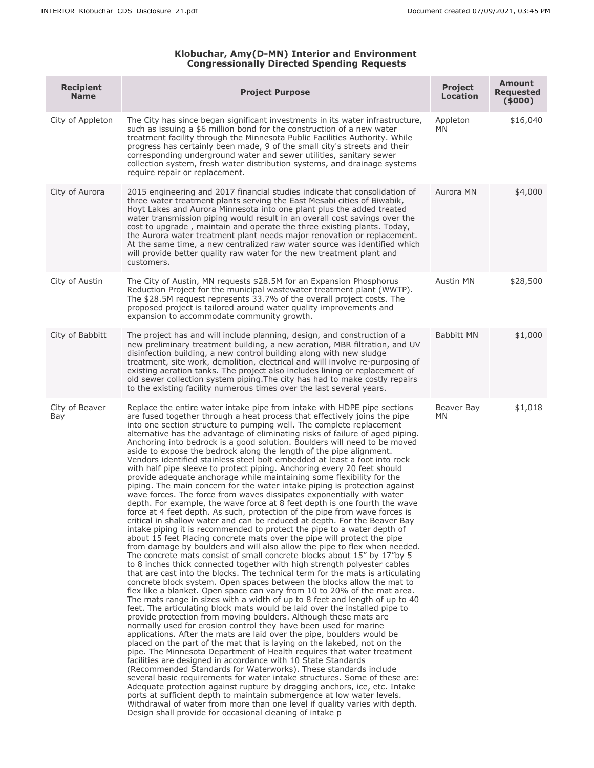## **Klobuchar, Amy(D-MN) Interior and Environment Congressionally Directed Spending Requests**

| <b>Recipient</b><br><b>Name</b> | <b>Project Purpose</b>                                                                                                                                                                                                                                                                                                                                                                                                                                                                                                                                                                                                                                                                                                                                                                                                                                                                                                                                                                                                                                                                                                                                                                                                                                                                                                                                                                                                                                                                                                                                                                                                                                                                                                                                                                                                                                                                                                                                                                                                                                                                                                                                                                                                                                                                                                                                                                                                                                                                                                                                                                                                                                                                                                                                                                       | <b>Project</b><br><b>Location</b> | <b>Amount</b><br><b>Requested</b><br>(5000) |
|---------------------------------|----------------------------------------------------------------------------------------------------------------------------------------------------------------------------------------------------------------------------------------------------------------------------------------------------------------------------------------------------------------------------------------------------------------------------------------------------------------------------------------------------------------------------------------------------------------------------------------------------------------------------------------------------------------------------------------------------------------------------------------------------------------------------------------------------------------------------------------------------------------------------------------------------------------------------------------------------------------------------------------------------------------------------------------------------------------------------------------------------------------------------------------------------------------------------------------------------------------------------------------------------------------------------------------------------------------------------------------------------------------------------------------------------------------------------------------------------------------------------------------------------------------------------------------------------------------------------------------------------------------------------------------------------------------------------------------------------------------------------------------------------------------------------------------------------------------------------------------------------------------------------------------------------------------------------------------------------------------------------------------------------------------------------------------------------------------------------------------------------------------------------------------------------------------------------------------------------------------------------------------------------------------------------------------------------------------------------------------------------------------------------------------------------------------------------------------------------------------------------------------------------------------------------------------------------------------------------------------------------------------------------------------------------------------------------------------------------------------------------------------------------------------------------------------------|-----------------------------------|---------------------------------------------|
| City of Appleton                | The City has since began significant investments in its water infrastructure,<br>such as issuing a \$6 million bond for the construction of a new water<br>treatment facility through the Minnesota Public Facilities Authority. While<br>progress has certainly been made, 9 of the small city's streets and their<br>corresponding underground water and sewer utilities, sanitary sewer<br>collection system, fresh water distribution systems, and drainage systems<br>require repair or replacement.                                                                                                                                                                                                                                                                                                                                                                                                                                                                                                                                                                                                                                                                                                                                                                                                                                                                                                                                                                                                                                                                                                                                                                                                                                                                                                                                                                                                                                                                                                                                                                                                                                                                                                                                                                                                                                                                                                                                                                                                                                                                                                                                                                                                                                                                                    | Appleton<br>ΜN                    | \$16,040                                    |
| City of Aurora                  | 2015 engineering and 2017 financial studies indicate that consolidation of<br>three water treatment plants serving the East Mesabi cities of Biwabik,<br>Hoyt Lakes and Aurora Minnesota into one plant plus the added treated<br>water transmission piping would result in an overall cost savings over the<br>cost to upgrade, maintain and operate the three existing plants. Today,<br>the Aurora water treatment plant needs major renovation or replacement.<br>At the same time, a new centralized raw water source was identified which<br>will provide better quality raw water for the new treatment plant and<br>customers.                                                                                                                                                                                                                                                                                                                                                                                                                                                                                                                                                                                                                                                                                                                                                                                                                                                                                                                                                                                                                                                                                                                                                                                                                                                                                                                                                                                                                                                                                                                                                                                                                                                                                                                                                                                                                                                                                                                                                                                                                                                                                                                                                       | Aurora MN                         | \$4,000                                     |
| City of Austin                  | The City of Austin, MN requests \$28.5M for an Expansion Phosphorus<br>Reduction Project for the municipal wastewater treatment plant (WWTP).<br>The \$28.5M request represents 33.7% of the overall project costs. The<br>proposed project is tailored around water quality improvements and<br>expansion to accommodate community growth.                                                                                                                                                                                                                                                                                                                                                                                                                                                                                                                                                                                                                                                                                                                                                                                                                                                                                                                                                                                                                                                                                                                                                                                                                                                                                                                                                                                                                                                                                                                                                                                                                                                                                                                                                                                                                                                                                                                                                                                                                                                                                                                                                                                                                                                                                                                                                                                                                                                  | Austin MN                         | \$28,500                                    |
| City of Babbitt                 | The project has and will include planning, design, and construction of a<br>new preliminary treatment building, a new aeration, MBR filtration, and UV<br>disinfection building, a new control building along with new sludge<br>treatment, site work, demolition, electrical and will involve re-purposing of<br>existing aeration tanks. The project also includes lining or replacement of<br>old sewer collection system piping. The city has had to make costly repairs<br>to the existing facility numerous times over the last several years.                                                                                                                                                                                                                                                                                                                                                                                                                                                                                                                                                                                                                                                                                                                                                                                                                                                                                                                                                                                                                                                                                                                                                                                                                                                                                                                                                                                                                                                                                                                                                                                                                                                                                                                                                                                                                                                                                                                                                                                                                                                                                                                                                                                                                                         | Babbitt MN                        | \$1,000                                     |
| City of Beaver<br>Bay           | Replace the entire water intake pipe from intake with HDPE pipe sections<br>are fused together through a heat process that effectively joins the pipe<br>into one section structure to pumping well. The complete replacement<br>alternative has the advantage of eliminating risks of failure of aged piping.<br>Anchoring into bedrock is a good solution. Boulders will need to be moved<br>aside to expose the bedrock along the length of the pipe alignment.<br>Vendors identified stainless steel bolt embedded at least a foot into rock<br>with half pipe sleeve to protect piping. Anchoring every 20 feet should<br>provide adequate anchorage while maintaining some flexibility for the<br>piping. The main concern for the water intake piping is protection against<br>wave forces. The force from waves dissipates exponentially with water<br>depth. For example, the wave force at 8 feet depth is one fourth the wave<br>force at 4 feet depth. As such, protection of the pipe from wave forces is<br>critical in shallow water and can be reduced at depth. For the Beaver Bay<br>intake piping it is recommended to protect the pipe to a water depth of<br>about 15 feet Placing concrete mats over the pipe will protect the pipe<br>from damage by boulders and will also allow the pipe to flex when needed.<br>The concrete mats consist of small concrete blocks about 15" by 17"by 5<br>to 8 inches thick connected together with high strength polyester cables<br>that are cast into the blocks. The technical term for the mats is articulating<br>concrete block system. Open spaces between the blocks allow the mat to<br>flex like a blanket. Open space can vary from 10 to 20% of the mat area.<br>The mats range in sizes with a width of up to 8 feet and length of up to 40<br>feet. The articulating block mats would be laid over the installed pipe to<br>provide protection from moving boulders. Although these mats are<br>normally used for erosion control they have been used for marine<br>applications. After the mats are laid over the pipe, boulders would be<br>placed on the part of the mat that is laying on the lakebed, not on the<br>pipe. The Minnesota Department of Health requires that water treatment<br>facilities are designed in accordance with 10 State Standards<br>(Recommended Standards for Waterworks). These standards include<br>several basic requirements for water intake structures. Some of these are:<br>Adequate protection against rupture by dragging anchors, ice, etc. Intake<br>ports at sufficient depth to maintain submergence at low water levels.<br>Withdrawal of water from more than one level if quality varies with depth.<br>Design shall provide for occasional cleaning of intake p | Beaver Bay<br>ΜN                  | \$1,018                                     |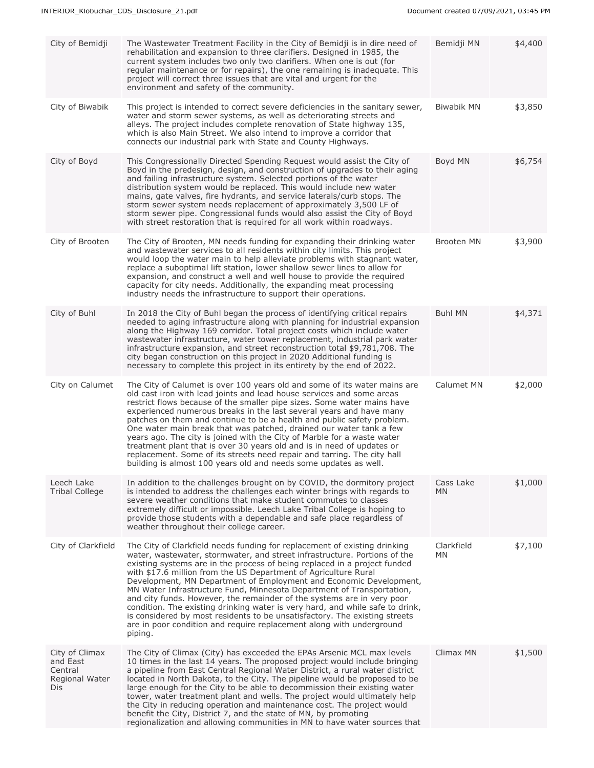| City of Bemidji                                                | The Wastewater Treatment Facility in the City of Bemidji is in dire need of<br>rehabilitation and expansion to three clarifiers. Designed in 1985, the<br>current system includes two only two clarifiers. When one is out (for<br>regular maintenance or for repairs), the one remaining is inadequate. This<br>project will correct three issues that are vital and urgent for the<br>environment and safety of the community.                                                                                                                                                                                                                                                                                                                                                  | Bemidji MN              | \$4,400 |
|----------------------------------------------------------------|-----------------------------------------------------------------------------------------------------------------------------------------------------------------------------------------------------------------------------------------------------------------------------------------------------------------------------------------------------------------------------------------------------------------------------------------------------------------------------------------------------------------------------------------------------------------------------------------------------------------------------------------------------------------------------------------------------------------------------------------------------------------------------------|-------------------------|---------|
| City of Biwabik                                                | This project is intended to correct severe deficiencies in the sanitary sewer,<br>water and storm sewer systems, as well as deteriorating streets and<br>alleys. The project includes complete renovation of State highway 135,<br>which is also Main Street. We also intend to improve a corridor that<br>connects our industrial park with State and County Highways.                                                                                                                                                                                                                                                                                                                                                                                                           | Biwabik MN              | \$3,850 |
| City of Boyd                                                   | This Congressionally Directed Spending Request would assist the City of<br>Boyd in the predesign, design, and construction of upgrades to their aging<br>and failing infrastructure system. Selected portions of the water<br>distribution system would be replaced. This would include new water<br>mains, gate valves, fire hydrants, and service laterals/curb stops. The<br>storm sewer system needs replacement of approximately 3,500 LF of<br>storm sewer pipe. Congressional funds would also assist the City of Boyd<br>with street restoration that is required for all work within roadways.                                                                                                                                                                           | Boyd MN                 | \$6,754 |
| City of Brooten                                                | The City of Brooten, MN needs funding for expanding their drinking water<br>and wastewater services to all residents within city limits. This project<br>would loop the water main to help alleviate problems with stagnant water,<br>replace a suboptimal lift station, lower shallow sewer lines to allow for<br>expansion, and construct a well and well house to provide the required<br>capacity for city needs. Additionally, the expanding meat processing<br>industry needs the infrastructure to support their operations.                                                                                                                                                                                                                                               | Brooten MN              | \$3,900 |
| City of Buhl                                                   | In 2018 the City of Buhl began the process of identifying critical repairs<br>needed to aging infrastructure along with planning for industrial expansion<br>along the Highway 169 corridor. Total project costs which include water<br>wastewater infrastructure, water tower replacement, industrial park water<br>infrastructure expansion, and street reconstruction total \$9,781,708. The<br>city began construction on this project in 2020 Additional funding is<br>necessary to complete this project in its entirety by the end of 2022.                                                                                                                                                                                                                                | <b>Buhl MN</b>          | \$4,371 |
| City on Calumet                                                | The City of Calumet is over 100 years old and some of its water mains are<br>old cast iron with lead joints and lead house services and some areas<br>restrict flows because of the smaller pipe sizes. Some water mains have<br>experienced numerous breaks in the last several years and have many<br>patches on them and continue to be a health and public safety problem.<br>One water main break that was patched, drained our water tank a few<br>years ago. The city is joined with the City of Marble for a waste water<br>treatment plant that is over 30 years old and is in need of updates or<br>replacement. Some of its streets need repair and tarring. The city hall<br>building is almost 100 years old and needs some updates as well.                         | Calumet MN              | \$2,000 |
| Leech Lake<br><b>Tribal College</b>                            | In addition to the challenges brought on by COVID, the dormitory project<br>is intended to address the challenges each winter brings with regards to<br>severe weather conditions that make student commutes to classes<br>extremely difficult or impossible. Leech Lake Tribal College is hoping to<br>provide those students with a dependable and safe place regardless of<br>weather throughout their college career.                                                                                                                                                                                                                                                                                                                                                         | Cass Lake<br><b>MN</b>  | \$1,000 |
| City of Clarkfield                                             | The City of Clarkfield needs funding for replacement of existing drinking<br>water, wastewater, stormwater, and street infrastructure. Portions of the<br>existing systems are in the process of being replaced in a project funded<br>with \$17.6 million from the US Department of Agriculture Rural<br>Development, MN Department of Employment and Economic Development,<br>MN Water Infrastructure Fund, Minnesota Department of Transportation,<br>and city funds. However, the remainder of the systems are in very poor<br>condition. The existing drinking water is very hard, and while safe to drink,<br>is considered by most residents to be unsatisfactory. The existing streets<br>are in poor condition and require replacement along with underground<br>piping. | Clarkfield<br><b>MN</b> | \$7,100 |
| City of Climax<br>and East<br>Central<br>Regional Water<br>Dis | The City of Climax (City) has exceeded the EPAs Arsenic MCL max levels<br>10 times in the last 14 years. The proposed project would include bringing<br>a pipeline from East Central Regional Water District, a rural water district<br>located in North Dakota, to the City. The pipeline would be proposed to be<br>large enough for the City to be able to decommission their existing water<br>tower, water treatment plant and wells. The project would ultimately help<br>the City in reducing operation and maintenance cost. The project would<br>benefit the City, District 7, and the state of MN, by promoting<br>regionalization and allowing communities in MN to have water sources that                                                                            | Climax MN               | \$1,500 |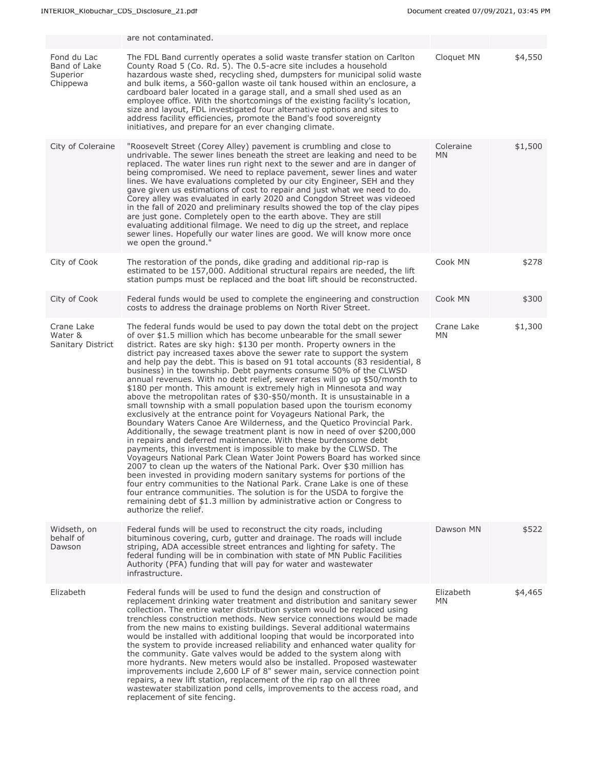|                                                     | are not contaminated.                                                                                                                                                                                                                                                                                                                                                                                                                                                                                                                                                                                                                                                                                                                                                                                                                                                                                                                                                                                                                                                                                                                                                                                                                                                                                                                                                                                                                                                                                                                                                                                                                |                        |         |
|-----------------------------------------------------|--------------------------------------------------------------------------------------------------------------------------------------------------------------------------------------------------------------------------------------------------------------------------------------------------------------------------------------------------------------------------------------------------------------------------------------------------------------------------------------------------------------------------------------------------------------------------------------------------------------------------------------------------------------------------------------------------------------------------------------------------------------------------------------------------------------------------------------------------------------------------------------------------------------------------------------------------------------------------------------------------------------------------------------------------------------------------------------------------------------------------------------------------------------------------------------------------------------------------------------------------------------------------------------------------------------------------------------------------------------------------------------------------------------------------------------------------------------------------------------------------------------------------------------------------------------------------------------------------------------------------------------|------------------------|---------|
| Fond du Lac<br>Band of Lake<br>Superior<br>Chippewa | The FDL Band currently operates a solid waste transfer station on Carlton<br>County Road 5 (Co. Rd. 5). The 0.5-acre site includes a household<br>hazardous waste shed, recycling shed, dumpsters for municipal solid waste<br>and bulk items, a 560-gallon waste oil tank housed within an enclosure, a<br>cardboard baler located in a garage stall, and a small shed used as an<br>employee office. With the shortcomings of the existing facility's location,<br>size and layout, FDL investigated four alternative options and sites to<br>address facility efficiencies, promote the Band's food sovereignty<br>initiatives, and prepare for an ever changing climate.                                                                                                                                                                                                                                                                                                                                                                                                                                                                                                                                                                                                                                                                                                                                                                                                                                                                                                                                                         | Cloquet MN             | \$4,550 |
| City of Coleraine                                   | "Roosevelt Street (Corey Alley) pavement is crumbling and close to<br>undrivable. The sewer lines beneath the street are leaking and need to be<br>replaced. The water lines run right next to the sewer and are in danger of<br>being compromised. We need to replace pavement, sewer lines and water<br>lines. We have evaluations completed by our city Engineer, SEH and they<br>gave given us estimations of cost to repair and just what we need to do.<br>Corey alley was evaluated in early 2020 and Congdon Street was videoed<br>in the fall of 2020 and preliminary results showed the top of the clay pipes<br>are just gone. Completely open to the earth above. They are still<br>evaluating additional filmage. We need to dig up the street, and replace<br>sewer lines. Hopefully our water lines are good. We will know more once<br>we open the ground."                                                                                                                                                                                                                                                                                                                                                                                                                                                                                                                                                                                                                                                                                                                                                          | Coleraine<br><b>MN</b> | \$1,500 |
| City of Cook                                        | The restoration of the ponds, dike grading and additional rip-rap is<br>estimated to be 157,000. Additional structural repairs are needed, the lift<br>station pumps must be replaced and the boat lift should be reconstructed.                                                                                                                                                                                                                                                                                                                                                                                                                                                                                                                                                                                                                                                                                                                                                                                                                                                                                                                                                                                                                                                                                                                                                                                                                                                                                                                                                                                                     | Cook MN                | \$278   |
| City of Cook                                        | Federal funds would be used to complete the engineering and construction<br>costs to address the drainage problems on North River Street.                                                                                                                                                                                                                                                                                                                                                                                                                                                                                                                                                                                                                                                                                                                                                                                                                                                                                                                                                                                                                                                                                                                                                                                                                                                                                                                                                                                                                                                                                            | Cook MN                | \$300   |
| Crane Lake<br>Water &<br><b>Sanitary District</b>   | The federal funds would be used to pay down the total debt on the project<br>of over \$1.5 million which has become unbearable for the small sewer<br>district. Rates are sky high: \$130 per month. Property owners in the<br>district pay increased taxes above the sewer rate to support the system<br>and help pay the debt. This is based on 91 total accounts (83 residential, 8<br>business) in the township. Debt payments consume 50% of the CLWSD<br>annual revenues. With no debt relief, sewer rates will go up \$50/month to<br>\$180 per month. This amount is extremely high in Minnesota and way<br>above the metropolitan rates of \$30-\$50/month. It is unsustainable in a<br>small township with a small population based upon the tourism economy<br>exclusively at the entrance point for Voyageurs National Park, the<br>Boundary Waters Canoe Are Wilderness, and the Quetico Provincial Park.<br>Additionally, the sewage treatment plant is now in need of over \$200,000<br>in repairs and deferred maintenance. With these burdensome debt<br>payments, this investment is impossible to make by the CLWSD. The<br>Voyageurs National Park Clean Water Joint Powers Board has worked since<br>2007 to clean up the waters of the National Park. Over \$30 million has<br>been invested in providing modern sanitary systems for portions of the<br>four entry communities to the National Park. Crane Lake is one of these<br>four entrance communities. The solution is for the USDA to forgive the<br>remaining debt of \$1.3 million by administrative action or Congress to<br>authorize the relief. | Crane Lake<br>ΜN       | \$1,300 |
| Widseth, on<br>behalf of<br>Dawson                  | Federal funds will be used to reconstruct the city roads, including<br>bituminous covering, curb, gutter and drainage. The roads will include<br>striping, ADA accessible street entrances and lighting for safety. The<br>federal funding will be in combination with state of MN Public Facilities<br>Authority (PFA) funding that will pay for water and wastewater<br>infrastructure.                                                                                                                                                                                                                                                                                                                                                                                                                                                                                                                                                                                                                                                                                                                                                                                                                                                                                                                                                                                                                                                                                                                                                                                                                                            | Dawson MN              | \$522   |
| Elizabeth                                           | Federal funds will be used to fund the design and construction of<br>replacement drinking water treatment and distribution and sanitary sewer<br>collection. The entire water distribution system would be replaced using<br>trenchless construction methods. New service connections would be made<br>from the new mains to existing buildings. Several additional watermains<br>would be installed with additional looping that would be incorporated into<br>the system to provide increased reliability and enhanced water quality for<br>the community. Gate valves would be added to the system along with<br>more hydrants. New meters would also be installed. Proposed wastewater<br>improvements include 2,600 LF of 8" sewer main, service connection point<br>repairs, a new lift station, replacement of the rip rap on all three<br>wastewater stabilization pond cells, improvements to the access road, and<br>replacement of site fencing.                                                                                                                                                                                                                                                                                                                                                                                                                                                                                                                                                                                                                                                                          | Elizabeth<br>МN        | \$4,465 |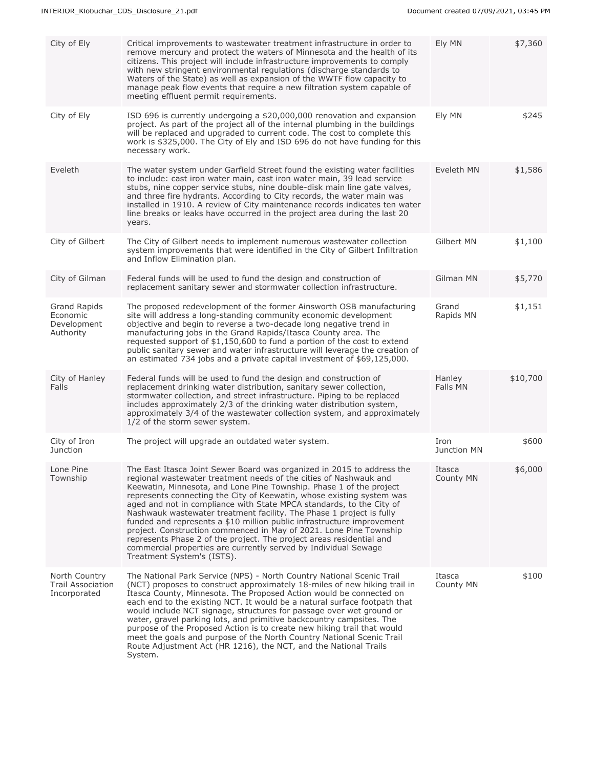| City of Ely                                                 | Critical improvements to wastewater treatment infrastructure in order to<br>remove mercury and protect the waters of Minnesota and the health of its<br>citizens. This project will include infrastructure improvements to comply<br>with new stringent environmental regulations (discharge standards to<br>Waters of the State) as well as expansion of the WWTF flow capacity to<br>manage peak flow events that require a new filtration system capable of<br>meeting effluent permit requirements.                                                                                                                                                                                                                                                              | Ely MN              | \$7,360  |
|-------------------------------------------------------------|----------------------------------------------------------------------------------------------------------------------------------------------------------------------------------------------------------------------------------------------------------------------------------------------------------------------------------------------------------------------------------------------------------------------------------------------------------------------------------------------------------------------------------------------------------------------------------------------------------------------------------------------------------------------------------------------------------------------------------------------------------------------|---------------------|----------|
| City of Ely                                                 | ISD 696 is currently undergoing a \$20,000,000 renovation and expansion<br>project. As part of the project all of the internal plumbing in the buildings<br>will be replaced and upgraded to current code. The cost to complete this<br>work is \$325,000. The City of Ely and ISD 696 do not have funding for this<br>necessary work.                                                                                                                                                                                                                                                                                                                                                                                                                               | Ely MN              | \$245    |
| Eveleth                                                     | The water system under Garfield Street found the existing water facilities<br>to include: cast iron water main, cast iron water main, 39 lead service<br>stubs, nine copper service stubs, nine double-disk main line gate valves,<br>and three fire hydrants. According to City records, the water main was<br>installed in 1910. A review of City maintenance records indicates ten water<br>line breaks or leaks have occurred in the project area during the last 20<br>years.                                                                                                                                                                                                                                                                                   | Eveleth MN          | \$1,586  |
| City of Gilbert                                             | The City of Gilbert needs to implement numerous wastewater collection<br>system improvements that were identified in the City of Gilbert Infiltration<br>and Inflow Elimination plan.                                                                                                                                                                                                                                                                                                                                                                                                                                                                                                                                                                                | Gilbert MN          | \$1,100  |
| City of Gilman                                              | Federal funds will be used to fund the design and construction of<br>replacement sanitary sewer and stormwater collection infrastructure.                                                                                                                                                                                                                                                                                                                                                                                                                                                                                                                                                                                                                            | Gilman MN           | \$5,770  |
| <b>Grand Rapids</b><br>Economic<br>Development<br>Authority | The proposed redevelopment of the former Ainsworth OSB manufacturing<br>site will address a long-standing community economic development<br>objective and begin to reverse a two-decade long negative trend in<br>manufacturing jobs in the Grand Rapids/Itasca County area. The<br>requested support of \$1,150,600 to fund a portion of the cost to extend<br>public sanitary sewer and water infrastructure will leverage the creation of<br>an estimated 734 jobs and a private capital investment of \$69,125,000.                                                                                                                                                                                                                                              | Grand<br>Rapids MN  | \$1,151  |
| City of Hanley<br>Falls                                     | Federal funds will be used to fund the design and construction of<br>replacement drinking water distribution, sanitary sewer collection,<br>stormwater collection, and street infrastructure. Piping to be replaced<br>includes approximately 2/3 of the drinking water distribution system,<br>approximately 3/4 of the wastewater collection system, and approximately<br>1/2 of the storm sewer system.                                                                                                                                                                                                                                                                                                                                                           | Hanley<br>Falls MN  | \$10,700 |
| City of Iron<br>Junction                                    | The project will upgrade an outdated water system.                                                                                                                                                                                                                                                                                                                                                                                                                                                                                                                                                                                                                                                                                                                   | Iron<br>Junction MN | \$600    |
| Lone Pine<br>Township                                       | The East Itasca Joint Sewer Board was organized in 2015 to address the<br>regional wastewater treatment needs of the cities of Nashwauk and<br>Keewatin, Minnesota, and Lone Pine Township. Phase 1 of the project<br>represents connecting the City of Keewatin, whose existing system was<br>aged and not in compliance with State MPCA standards, to the City of<br>Nashwauk wastewater treatment facility. The Phase 1 project is fully<br>funded and represents a \$10 million public infrastructure improvement<br>project. Construction commenced in May of 2021. Lone Pine Township<br>represents Phase 2 of the project. The project areas residential and<br>commercial properties are currently served by Individual Sewage<br>Treatment System's (ISTS). | Itasca<br>County MN | \$6,000  |
| North Country<br><b>Trail Association</b><br>Incorporated   | The National Park Service (NPS) - North Country National Scenic Trail<br>(NCT) proposes to construct approximately 18-miles of new hiking trail in<br>Itasca County, Minnesota. The Proposed Action would be connected on<br>each end to the existing NCT. It would be a natural surface footpath that<br>would include NCT signage, structures for passage over wet ground or<br>water, gravel parking lots, and primitive backcountry campsites. The<br>purpose of the Proposed Action is to create new hiking trail that would<br>meet the goals and purpose of the North Country National Scenic Trail<br>Route Adjustment Act (HR 1216), the NCT, and the National Trails<br>System.                                                                            | Itasca<br>County MN | \$100    |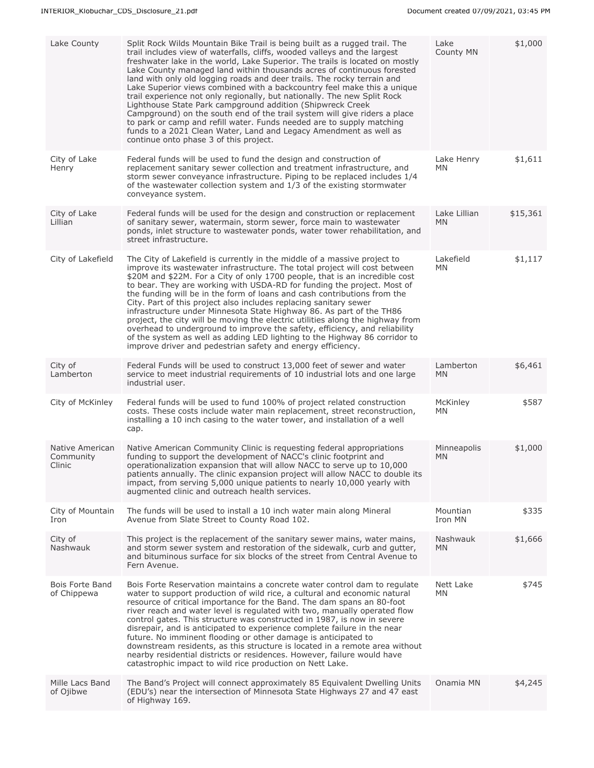| Lake County                            | Split Rock Wilds Mountain Bike Trail is being built as a rugged trail. The<br>trail includes view of waterfalls, cliffs, wooded valleys and the largest<br>freshwater lake in the world, Lake Superior. The trails is located on mostly<br>Lake County managed land within thousands acres of continuous forested<br>land with only old logging roads and deer trails. The rocky terrain and<br>Lake Superior views combined with a backcountry feel make this a unique<br>trail experience not only regionally, but nationally. The new Split Rock<br>Lighthouse State Park campground addition (Shipwreck Creek<br>Campground) on the south end of the trail system will give riders a place<br>to park or camp and refill water. Funds needed are to supply matching<br>funds to a 2021 Clean Water, Land and Legacy Amendment as well as<br>continue onto phase 3 of this project. | Lake<br>County MN         | \$1,000  |
|----------------------------------------|----------------------------------------------------------------------------------------------------------------------------------------------------------------------------------------------------------------------------------------------------------------------------------------------------------------------------------------------------------------------------------------------------------------------------------------------------------------------------------------------------------------------------------------------------------------------------------------------------------------------------------------------------------------------------------------------------------------------------------------------------------------------------------------------------------------------------------------------------------------------------------------|---------------------------|----------|
| City of Lake<br>Henry                  | Federal funds will be used to fund the design and construction of<br>replacement sanitary sewer collection and treatment infrastructure, and<br>storm sewer conveyance infrastructure. Piping to be replaced includes 1/4<br>of the wastewater collection system and 1/3 of the existing stormwater<br>conveyance system.                                                                                                                                                                                                                                                                                                                                                                                                                                                                                                                                                              | Lake Henry<br>MN          | \$1,611  |
| City of Lake<br>Lillian                | Federal funds will be used for the design and construction or replacement<br>of sanitary sewer, watermain, storm sewer, force main to wastewater<br>ponds, inlet structure to wastewater ponds, water tower rehabilitation, and<br>street infrastructure.                                                                                                                                                                                                                                                                                                                                                                                                                                                                                                                                                                                                                              | Lake Lillian<br><b>MN</b> | \$15,361 |
| City of Lakefield                      | The City of Lakefield is currently in the middle of a massive project to<br>improve its wastewater infrastructure. The total project will cost between<br>\$20M and \$22M. For a City of only 1700 people, that is an incredible cost<br>to bear. They are working with USDA-RD for funding the project. Most of<br>the funding will be in the form of loans and cash contributions from the<br>City. Part of this project also includes replacing sanitary sewer<br>infrastructure under Minnesota State Highway 86. As part of the TH86<br>project, the city will be moving the electric utilities along the highway from<br>overhead to underground to improve the safety, efficiency, and reliability<br>of the system as well as adding LED lighting to the Highway 86 corridor to<br>improve driver and pedestrian safety and energy efficiency.                                 | Lakefield<br>MN           | \$1,117  |
| City of<br>Lamberton                   | Federal Funds will be used to construct 13,000 feet of sewer and water<br>service to meet industrial requirements of 10 industrial lots and one large<br>industrial user.                                                                                                                                                                                                                                                                                                                                                                                                                                                                                                                                                                                                                                                                                                              | Lamberton<br><b>MN</b>    | \$6,461  |
| City of McKinley                       | Federal funds will be used to fund 100% of project related construction<br>costs. These costs include water main replacement, street reconstruction,<br>installing a 10 inch casing to the water tower, and installation of a well<br>cap.                                                                                                                                                                                                                                                                                                                                                                                                                                                                                                                                                                                                                                             | McKinley<br>MN            | \$587    |
| Native American<br>Community<br>Clinic | Native American Community Clinic is requesting federal appropriations<br>funding to support the development of NACC's clinic footprint and<br>operationalization expansion that will allow NACC to serve up to 10,000<br>patients annually. The clinic expansion project will allow NACC to double its<br>impact, from serving 5,000 unique patients to nearly 10,000 yearly with<br>augmented clinic and outreach health services.                                                                                                                                                                                                                                                                                                                                                                                                                                                    | Minneapolis<br><b>MN</b>  | \$1,000  |
| City of Mountain<br>Iron               | The funds will be used to install a 10 inch water main along Mineral<br>Avenue from Slate Street to County Road 102.                                                                                                                                                                                                                                                                                                                                                                                                                                                                                                                                                                                                                                                                                                                                                                   | Mountian<br>Iron MN       | \$335    |
| City of<br>Nashwauk                    | This project is the replacement of the sanitary sewer mains, water mains,<br>and storm sewer system and restoration of the sidewalk, curb and gutter,<br>and bituminous surface for six blocks of the street from Central Avenue to<br>Fern Avenue.                                                                                                                                                                                                                                                                                                                                                                                                                                                                                                                                                                                                                                    | Nashwauk<br><b>MN</b>     | \$1,666  |
| <b>Bois Forte Band</b><br>of Chippewa  | Bois Forte Reservation maintains a concrete water control dam to regulate<br>water to support production of wild rice, a cultural and economic natural<br>resource of critical importance for the Band. The dam spans an 80-foot<br>river reach and water level is regulated with two, manually operated flow<br>control gates. This structure was constructed in 1987, is now in severe<br>disrepair, and is anticipated to experience complete failure in the near<br>future. No imminent flooding or other damage is anticipated to<br>downstream residents, as this structure is located in a remote area without<br>nearby residential districts or residences. However, failure would have<br>catastrophic impact to wild rice production on Nett Lake.                                                                                                                          | Nett Lake<br><b>MN</b>    | \$745    |
| Mille Lacs Band<br>of Ojibwe           | The Band's Project will connect approximately 85 Equivalent Dwelling Units<br>(EDU's) near the intersection of Minnesota State Highways 27 and 47 east<br>of Highway 169.                                                                                                                                                                                                                                                                                                                                                                                                                                                                                                                                                                                                                                                                                                              | Onamia MN                 | \$4,245  |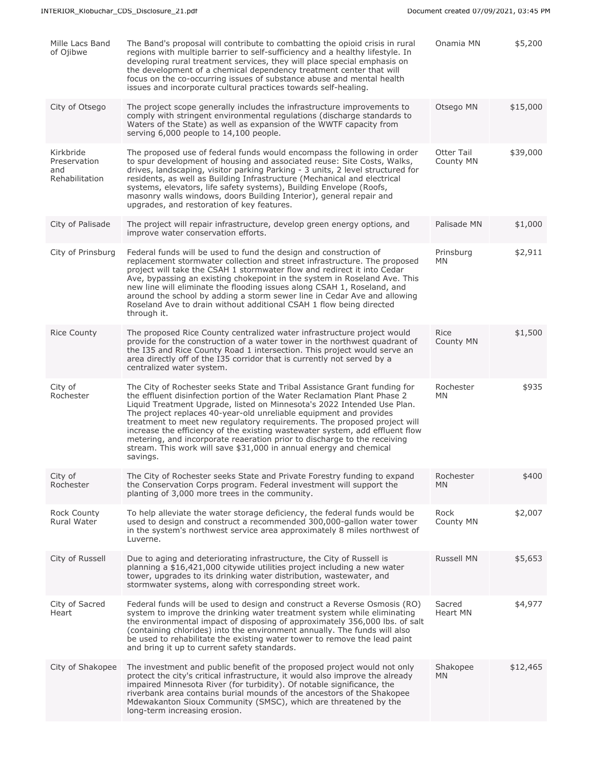| Mille Lacs Band<br>of Ojibwe                       | The Band's proposal will contribute to combatting the opioid crisis in rural<br>regions with multiple barrier to self-sufficiency and a healthy lifestyle. In<br>developing rural treatment services, they will place special emphasis on<br>the development of a chemical dependency treatment center that will<br>focus on the co-occurring issues of substance abuse and mental health<br>issues and incorporate cultural practices towards self-healing.                                                                                                                                                                     | Onamia MN               | \$5,200  |
|----------------------------------------------------|----------------------------------------------------------------------------------------------------------------------------------------------------------------------------------------------------------------------------------------------------------------------------------------------------------------------------------------------------------------------------------------------------------------------------------------------------------------------------------------------------------------------------------------------------------------------------------------------------------------------------------|-------------------------|----------|
| City of Otsego                                     | The project scope generally includes the infrastructure improvements to<br>comply with stringent environmental regulations (discharge standards to<br>Waters of the State) as well as expansion of the WWTF capacity from<br>serving 6,000 people to 14,100 people.                                                                                                                                                                                                                                                                                                                                                              | Otsego MN               | \$15,000 |
| Kirkbride<br>Preservation<br>and<br>Rehabilitation | The proposed use of federal funds would encompass the following in order<br>to spur development of housing and associated reuse: Site Costs, Walks,<br>drives, landscaping, visitor parking Parking - 3 units, 2 level structured for<br>residents, as well as Building Infrastructure (Mechanical and electrical<br>systems, elevators, life safety systems), Building Envelope (Roofs,<br>masonry walls windows, doors Building Interior), general repair and<br>upgrades, and restoration of key features.                                                                                                                    | Otter Tail<br>County MN | \$39,000 |
| City of Palisade                                   | The project will repair infrastructure, develop green energy options, and<br>improve water conservation efforts.                                                                                                                                                                                                                                                                                                                                                                                                                                                                                                                 | Palisade MN             | \$1,000  |
| City of Prinsburg                                  | Federal funds will be used to fund the design and construction of<br>replacement stormwater collection and street infrastructure. The proposed<br>project will take the CSAH 1 stormwater flow and redirect it into Cedar<br>Ave, bypassing an existing chokepoint in the system in Roseland Ave. This<br>new line will eliminate the flooding issues along CSAH 1, Roseland, and<br>around the school by adding a storm sewer line in Cedar Ave and allowing<br>Roseland Ave to drain without additional CSAH 1 flow being directed<br>through it.                                                                              | Prinsburg<br>MN         | \$2,911  |
| <b>Rice County</b>                                 | The proposed Rice County centralized water infrastructure project would<br>provide for the construction of a water tower in the northwest quadrant of<br>the I35 and Rice County Road 1 intersection. This project would serve an<br>area directly off of the I35 corridor that is currently not served by a<br>centralized water system.                                                                                                                                                                                                                                                                                        | Rice<br>County MN       | \$1,500  |
| City of<br>Rochester                               | The City of Rochester seeks State and Tribal Assistance Grant funding for<br>the effluent disinfection portion of the Water Reclamation Plant Phase 2<br>Liquid Treatment Upgrade, listed on Minnesota's 2022 Intended Use Plan.<br>The project replaces 40-year-old unreliable equipment and provides<br>treatment to meet new regulatory requirements. The proposed project will<br>increase the efficiency of the existing wastewater system, add effluent flow<br>metering, and incorporate reaeration prior to discharge to the receiving<br>stream. This work will save \$31,000 in annual energy and chemical<br>savings. | Rochester<br><b>MN</b>  | \$935    |
| City of<br>Rochester                               | The City of Rochester seeks State and Private Forestry funding to expand<br>the Conservation Corps program. Federal investment will support the<br>planting of 3,000 more trees in the community.                                                                                                                                                                                                                                                                                                                                                                                                                                | Rochester<br>MN         | \$400    |
| Rock County<br>Rural Water                         | To help alleviate the water storage deficiency, the federal funds would be<br>used to design and construct a recommended 300,000-gallon water tower<br>in the system's northwest service area approximately 8 miles northwest of<br>Luverne.                                                                                                                                                                                                                                                                                                                                                                                     | Rock<br>County MN       | \$2,007  |
| City of Russell                                    | Due to aging and deteriorating infrastructure, the City of Russell is<br>planning a \$16,421,000 citywide utilities project including a new water<br>tower, upgrades to its drinking water distribution, wastewater, and<br>stormwater systems, along with corresponding street work.                                                                                                                                                                                                                                                                                                                                            | <b>Russell MN</b>       | \$5,653  |
| City of Sacred<br>Heart                            | Federal funds will be used to design and construct a Reverse Osmosis (RO)<br>system to improve the drinking water treatment system while eliminating<br>the environmental impact of disposing of approximately 356,000 lbs. of salt<br>(containing chlorides) into the environment annually. The funds will also<br>be used to rehabilitate the existing water tower to remove the lead paint<br>and bring it up to current safety standards.                                                                                                                                                                                    | Sacred<br>Heart MN      | \$4,977  |
| City of Shakopee                                   | The investment and public benefit of the proposed project would not only<br>protect the city's critical infrastructure, it would also improve the already<br>impaired Minnesota River (for turbidity). Of notable significance, the<br>riverbank area contains burial mounds of the ancestors of the Shakopee<br>Mdewakanton Sioux Community (SMSC), which are threatened by the<br>long-term increasing erosion.                                                                                                                                                                                                                | Shakopee<br>MN.         | \$12,465 |
|                                                    |                                                                                                                                                                                                                                                                                                                                                                                                                                                                                                                                                                                                                                  |                         |          |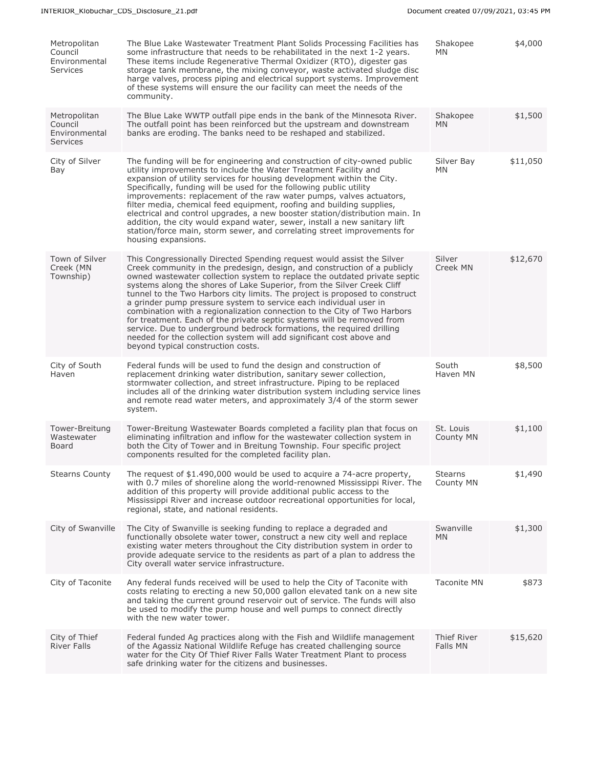| Metropolitan<br>Council<br>Environmental<br><b>Services</b> | The Blue Lake Wastewater Treatment Plant Solids Processing Facilities has<br>some infrastructure that needs to be rehabilitated in the next 1-2 years.<br>These items include Regenerative Thermal Oxidizer (RTO), digester gas<br>storage tank membrane, the mixing conveyor, waste activated sludge disc<br>harge valves, process piping and electrical support systems. Improvement<br>of these systems will ensure the our facility can meet the needs of the<br>community.                                                                                                                                                                                                                                                                                                                            | Shakopee<br><b>MN</b>       | \$4,000  |
|-------------------------------------------------------------|------------------------------------------------------------------------------------------------------------------------------------------------------------------------------------------------------------------------------------------------------------------------------------------------------------------------------------------------------------------------------------------------------------------------------------------------------------------------------------------------------------------------------------------------------------------------------------------------------------------------------------------------------------------------------------------------------------------------------------------------------------------------------------------------------------|-----------------------------|----------|
| Metropolitan<br>Council<br>Environmental<br><b>Services</b> | The Blue Lake WWTP outfall pipe ends in the bank of the Minnesota River.<br>The outfall point has been reinforced but the upstream and downstream<br>banks are eroding. The banks need to be reshaped and stabilized.                                                                                                                                                                                                                                                                                                                                                                                                                                                                                                                                                                                      | Shakopee<br>MN.             | \$1,500  |
| City of Silver<br>Bay                                       | The funding will be for engineering and construction of city-owned public<br>utility improvements to include the Water Treatment Facility and<br>expansion of utility services for housing development within the City.<br>Specifically, funding will be used for the following public utility<br>improvements: replacement of the raw water pumps, valves actuators,<br>filter media, chemical feed equipment, roofing and building supplies,<br>electrical and control upgrades, a new booster station/distribution main. In<br>addition, the city would expand water, sewer, install a new sanitary lift<br>station/force main, storm sewer, and correlating street improvements for<br>housing expansions.                                                                                             | Silver Bay<br><b>MN</b>     | \$11,050 |
| Town of Silver<br>Creek (MN<br>Township)                    | This Congressionally Directed Spending request would assist the Silver<br>Creek community in the predesign, design, and construction of a publicly<br>owned wastewater collection system to replace the outdated private septic<br>systems along the shores of Lake Superior, from the Silver Creek Cliff<br>tunnel to the Two Harbors city limits. The project is proposed to construct<br>a grinder pump pressure system to service each individual user in<br>combination with a regionalization connection to the City of Two Harbors<br>for treatment. Each of the private septic systems will be removed from<br>service. Due to underground bedrock formations, the required drilling<br>needed for the collection system will add significant cost above and<br>beyond typical construction costs. | Silver<br>Creek MN          | \$12,670 |
| City of South<br>Haven                                      | Federal funds will be used to fund the design and construction of<br>replacement drinking water distribution, sanitary sewer collection,<br>stormwater collection, and street infrastructure. Piping to be replaced<br>includes all of the drinking water distribution system including service lines<br>and remote read water meters, and approximately 3/4 of the storm sewer<br>system.                                                                                                                                                                                                                                                                                                                                                                                                                 | South<br>Haven MN           | \$8,500  |
| Tower-Breitung<br>Wastewater<br>Board                       | Tower-Breitung Wastewater Boards completed a facility plan that focus on<br>eliminating infiltration and inflow for the wastewater collection system in<br>both the City of Tower and in Breitung Township. Four specific project<br>components resulted for the completed facility plan.                                                                                                                                                                                                                                                                                                                                                                                                                                                                                                                  | St. Louis<br>County MN      | \$1,100  |
| <b>Stearns County</b>                                       | The request of \$1.490,000 would be used to acquire a 74-acre property,<br>with 0.7 miles of shoreline along the world-renowned Mississippi River. The<br>addition of this property will provide additional public access to the<br>Mississippi River and increase outdoor recreational opportunities for local,<br>regional, state, and national residents.                                                                                                                                                                                                                                                                                                                                                                                                                                               | <b>Stearns</b><br>County MN | \$1,490  |
| City of Swanville                                           | The City of Swanville is seeking funding to replace a degraded and<br>functionally obsolete water tower, construct a new city well and replace<br>existing water meters throughout the City distribution system in order to<br>provide adequate service to the residents as part of a plan to address the<br>City overall water service infrastructure.                                                                                                                                                                                                                                                                                                                                                                                                                                                    | Swanville<br>MN.            | \$1,300  |
| City of Taconite                                            | Any federal funds received will be used to help the City of Taconite with<br>costs relating to erecting a new 50,000 gallon elevated tank on a new site<br>and taking the current ground reservoir out of service. The funds will also<br>be used to modify the pump house and well pumps to connect directly<br>with the new water tower.                                                                                                                                                                                                                                                                                                                                                                                                                                                                 | <b>Taconite MN</b>          | \$873    |
| City of Thief<br><b>River Falls</b>                         | Federal funded Ag practices along with the Fish and Wildlife management<br>of the Agassiz National Wildlife Refuge has created challenging source<br>water for the City Of Thief River Falls Water Treatment Plant to process<br>safe drinking water for the citizens and businesses.                                                                                                                                                                                                                                                                                                                                                                                                                                                                                                                      | Thief River<br>Falls MN     | \$15,620 |